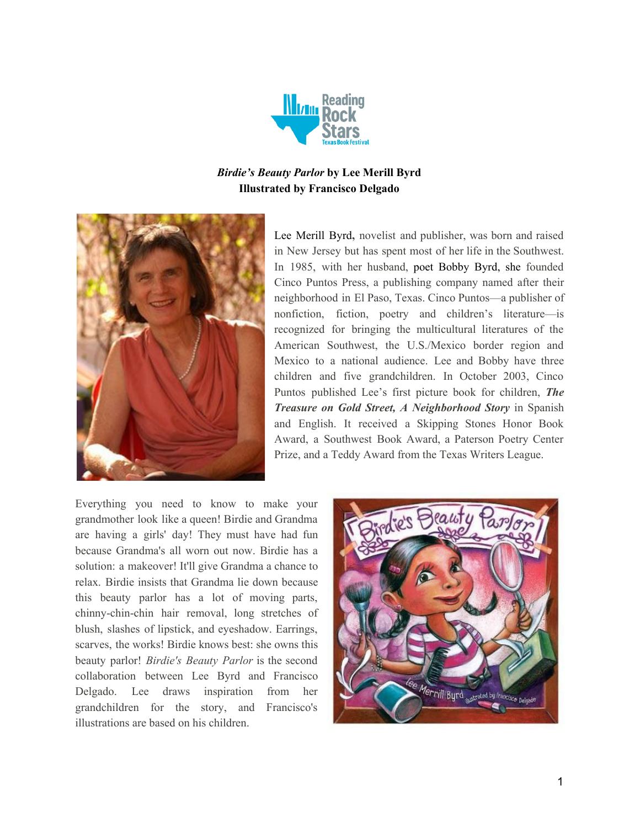

# *Birdie's Beauty Parlor* **by Lee Merill Byrd Illustrated by Francisco Delgado**



Lee Merill Byrd**,** novelist and publisher, was born and raised in New Jersey but has spent most of her life in the Southwest. In 1985, with her husband, poet [Bobby](https://www.cincopuntos.com/authors_detail.sstg?id=4) Byrd, she founded Cinco Puntos Press, a publishing company named after their neighborhood in El Paso, Texas. Cinco Puntos—a publisher of nonfiction, fiction, poetry and children's literature—is recognized for bringing the multicultural literatures of the American Southwest, the U.S./Mexico border region and Mexico to a national audience. Lee and Bobby have three children and five grandchildren. In October 2003, Cinco Puntos published Lee's first picture book for children, *The Treasure on Gold Street, A Neighborhood Story* in Spanish and English. It received a Skipping Stones Honor Book Award, a Southwest Book Award, a Paterson Poetry Center Prize, and a Teddy Award from the Texas Writers League.

Everything you need to know to make your grandmother look like a queen! Birdie and Grandma are having a girls' day! They must have had fun because Grandma's all worn out now. Birdie has a solution: a makeover! It'll give Grandma a chance to relax. Birdie insists that Grandma lie down because this beauty parlor has a lot of moving parts, chinny-chin-chin hair removal, long stretches of blush, slashes of lipstick, and eyeshadow. Earrings, scarves, the works! Birdie knows best: she owns this beauty parlor! *Birdie's Beauty Parlor* is the second collaboration between Lee Byrd and Francisco Delgado. Lee draws inspiration from her grandchildren for the story, and Francisco's illustrations are based on his children.

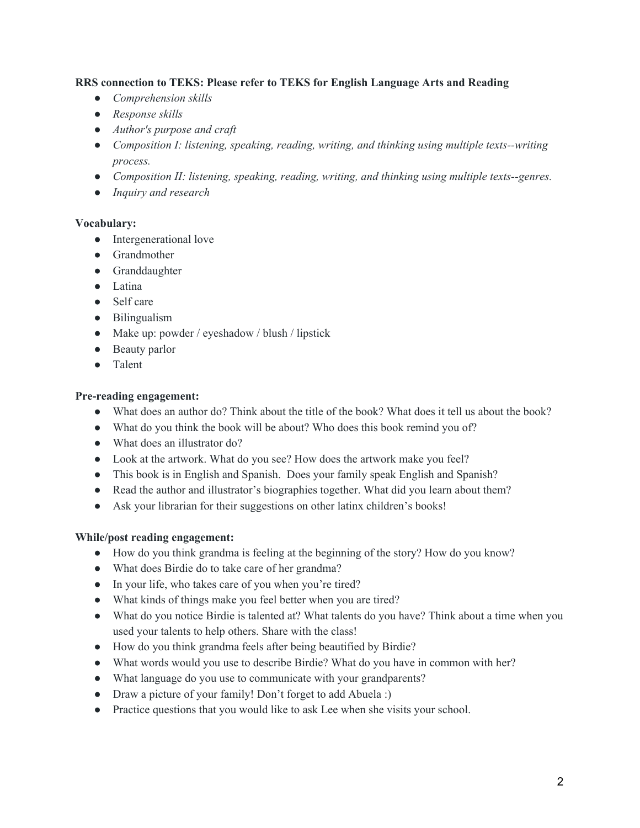### **RRS connection to TEKS: Please refer to TEKS for English Language Arts and Reading**

- *● Comprehension skills*
- *● Response skills*
- *● Author's purpose and craft*
- *● Composition I: listening, speaking, reading, writing, and thinking using multiple texts--writing process.*
- *● Composition II: listening, speaking, reading, writing, and thinking using multiple texts--genres.*
- *● Inquiry and research*

#### **Vocabulary:**

- Intergenerational love
- Grandmother
- Granddaughter
- Latina
- Self care
- Bilingualism
- Make up: powder / eyeshadow / blush / lipstick
- Beauty parlor
- Talent

#### **Pre-reading engagement:**

- What does an author do? Think about the title of the book? What does it tell us about the book?
- What do you think the book will be about? Who does this book remind you of?
- What does an illustrator do?
- Look at the artwork. What do you see? How does the artwork make you feel?
- This book is in English and Spanish. Does your family speak English and Spanish?
- Read the author and illustrator's biographies together. What did you learn about them?
- Ask your librarian for their suggestions on other latinx children's books!

#### **While/post reading engagement:**

- How do you think grandma is feeling at the beginning of the story? How do you know?
- What does Birdie do to take care of her grandma?
- In your life, who takes care of you when you're tired?
- What kinds of things make you feel better when you are tired?
- What do you notice Birdie is talented at? What talents do you have? Think about a time when you used your talents to help others. Share with the class!
- How do you think grandma feels after being beautified by Birdie?
- What words would you use to describe Birdie? What do you have in common with her?
- What language do you use to communicate with your grandparents?
- Draw a picture of your family! Don't forget to add Abuela :)
- Practice questions that you would like to ask Lee when she visits your school.